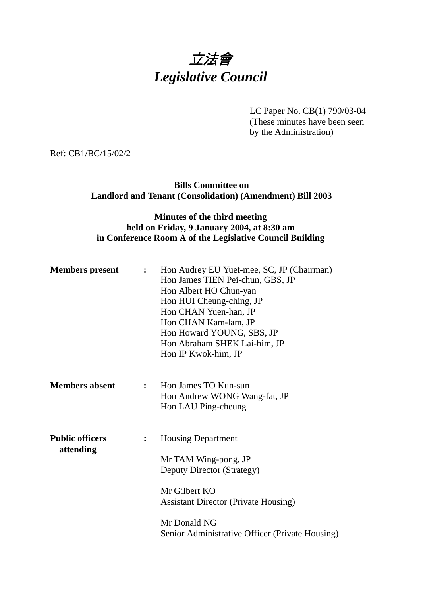# 立法會 *Legislative Council*

LC Paper No. CB(1) 790/03-04 (These minutes have been seen by the Administration)

Ref: CB1/BC/15/02/2

# **Bills Committee on Landlord and Tenant (Consolidation) (Amendment) Bill 2003**

# **Minutes of the third meeting held on Friday, 9 January 2004, at 8:30 am in Conference Room A of the Legislative Council Building**

| <b>Members</b> present              | $\mathbf{L}$ | Hon Audrey EU Yuet-mee, SC, JP (Chairman)<br>Hon James TIEN Pei-chun, GBS, JP<br>Hon Albert HO Chun-yan<br>Hon HUI Cheung-ching, JP<br>Hon CHAN Yuen-han, JP<br>Hon CHAN Kam-lam, JP<br>Hon Howard YOUNG, SBS, JP<br>Hon Abraham SHEK Lai-him, JP<br>Hon IP Kwok-him, JP |
|-------------------------------------|--------------|--------------------------------------------------------------------------------------------------------------------------------------------------------------------------------------------------------------------------------------------------------------------------|
| <b>Members absent</b>               |              | Hon James TO Kun-sun<br>Hon Andrew WONG Wang-fat, JP<br>Hon LAU Ping-cheung                                                                                                                                                                                              |
| <b>Public officers</b><br>attending |              | <b>Housing Department</b><br>Mr TAM Wing-pong, JP<br>Deputy Director (Strategy)<br>Mr Gilbert KO<br><b>Assistant Director (Private Housing)</b><br>Mr Donald NG<br>Senior Administrative Officer (Private Housing)                                                       |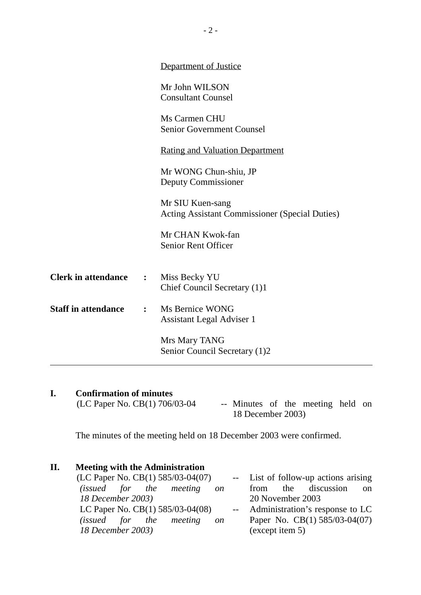|                            |                  | Department of Justice                                                     |
|----------------------------|------------------|---------------------------------------------------------------------------|
|                            |                  | Mr John WILSON<br><b>Consultant Counsel</b>                               |
|                            |                  | Ms Carmen CHU<br><b>Senior Government Counsel</b>                         |
|                            |                  | <u>Rating and Valuation Department</u>                                    |
|                            |                  | Mr WONG Chun-shiu, JP<br>Deputy Commissioner                              |
|                            |                  | Mr SIU Kuen-sang<br><b>Acting Assistant Commissioner (Special Duties)</b> |
|                            |                  | Mr CHAN Kwok-fan<br><b>Senior Rent Officer</b>                            |
| <b>Clerk in attendance</b> | $\ddot{\bullet}$ | Miss Becky YU<br>Chief Council Secretary (1)1                             |
| <b>Staff in attendance</b> | $\mathbf{L}$     | Ms Bernice WONG<br><b>Assistant Legal Adviser 1</b>                       |
|                            |                  | Mrs Mary TANG<br>Senior Council Secretary (1)2                            |

**I.** Confirmation of minutes<br>(LC Paper No. CB(1) 706/03-04 -- Minutes of the meeting held on 18 December 2003)

The minutes of the meeting held on 18 December 2003 were confirmed.

# **II. Meeting with the Administration**

| (LC Paper No. CB(1) 585/03-04(07)        | -- List of follow-up actions arising |
|------------------------------------------|--------------------------------------|
| (issued for the meeting<br><sub>on</sub> | from the discussion<br>$\alpha$      |
| 18 December 2003)                        | 20 November 2003                     |
| LC Paper No. CB(1) 585/03-04(08)         | -- Administration's response to LC   |
| (issued for the meeting<br><sub>on</sub> | Paper No. $CB(1)$ 585/03-04(07)      |
| 18 December 2003)                        | (except item 5)                      |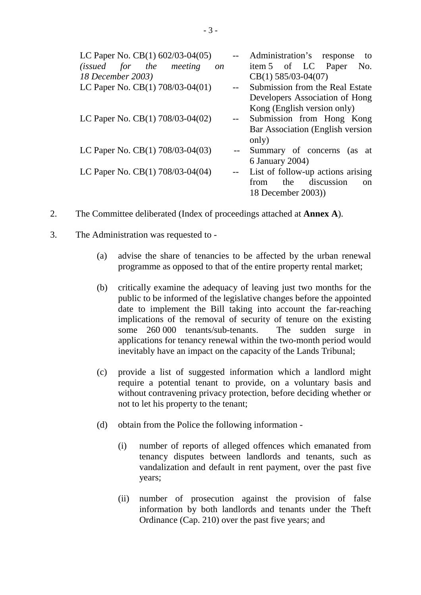| LC Paper No. CB(1) 602/03-04(05)   |                          | Administration's response<br>to            |
|------------------------------------|--------------------------|--------------------------------------------|
| (issued for the meeting<br>on      |                          | item 5 of LC Paper<br>No.                  |
| 18 December 2003)                  |                          | $CB(1)$ 585/03-04(07)                      |
| LC Paper No. CB(1) 708/03-04(01)   |                          | Submission from the Real Estate            |
|                                    |                          | Developers Association of Hong             |
|                                    |                          | Kong (English version only)                |
| LC Paper No. $CB(1)$ 708/03-04(02) | $\overline{\phantom{a}}$ | Submission from Hong Kong                  |
|                                    |                          | Bar Association (English version)          |
|                                    |                          | only)                                      |
| LC Paper No. CB(1) 708/03-04(03)   | $--$                     | Summary of concerns (as at                 |
|                                    |                          | 6 January 2004)                            |
| LC Paper No. CB(1) 708/03-04(04)   |                          | List of follow-up actions arising          |
|                                    |                          | discussion<br>the<br>from<br><sub>on</sub> |
|                                    |                          | 18 December 2003))                         |

- 2. The Committee deliberated (Index of proceedings attached at **Annex A**).
- 3. The Administration was requested to
	- (a) advise the share of tenancies to be affected by the urban renewal programme as opposed to that of the entire property rental market;
	- (b) critically examine the adequacy of leaving just two months for the public to be informed of the legislative changes before the appointed date to implement the Bill taking into account the far-reaching implications of the removal of security of tenure on the existing some 260 000 tenants/sub-tenants. The sudden surge in applications for tenancy renewal within the two-month period would inevitably have an impact on the capacity of the Lands Tribunal;
	- (c) provide a list of suggested information which a landlord might require a potential tenant to provide, on a voluntary basis and without contravening privacy protection, before deciding whether or not to let his property to the tenant;
	- (d) obtain from the Police the following information
		- (i) number of reports of alleged offences which emanated from tenancy disputes between landlords and tenants, such as vandalization and default in rent payment, over the past five years;
		- (ii) number of prosecution against the provision of false information by both landlords and tenants under the Theft Ordinance (Cap. 210) over the past five years; and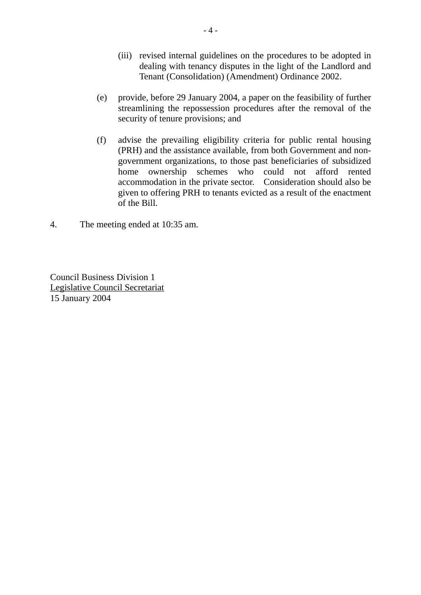- (iii) revised internal guidelines on the procedures to be adopted in dealing with tenancy disputes in the light of the Landlord and Tenant (Consolidation) (Amendment) Ordinance 2002.
- (e) provide, before 29 January 2004, a paper on the feasibility of further streamlining the repossession procedures after the removal of the security of tenure provisions; and
- (f) advise the prevailing eligibility criteria for public rental housing (PRH) and the assistance available, from both Government and nongovernment organizations, to those past beneficiaries of subsidized home ownership schemes who could not afford rented accommodation in the private sector. Consideration should also be given to offering PRH to tenants evicted as a result of the enactment of the Bill.
- 4. The meeting ended at 10:35 am.

Council Business Division 1 Legislative Council Secretariat 15 January 2004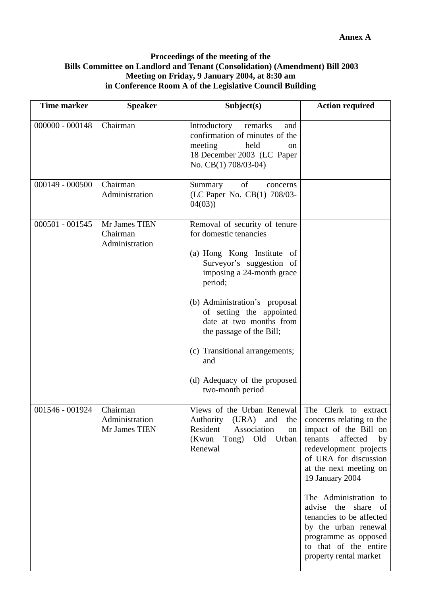### **Proceedings of the meeting of the Bills Committee on Landlord and Tenant (Consolidation) (Amendment) Bill 2003 Meeting on Friday, 9 January 2004, at 8:30 am in Conference Room A of the Legislative Council Building**

| <b>Time marker</b> | <b>Speaker</b>                              | Subject(s)                                                                                                                                                                                                                                                                                                                                                                 | <b>Action required</b>                                                                                                                                                                                                                                                                                                                                                                |
|--------------------|---------------------------------------------|----------------------------------------------------------------------------------------------------------------------------------------------------------------------------------------------------------------------------------------------------------------------------------------------------------------------------------------------------------------------------|---------------------------------------------------------------------------------------------------------------------------------------------------------------------------------------------------------------------------------------------------------------------------------------------------------------------------------------------------------------------------------------|
| $000000 - 000148$  | Chairman                                    | Introductory<br>remarks<br>and<br>confirmation of minutes of the<br>meeting<br>held<br><sub>on</sub><br>18 December 2003 (LC Paper<br>No. CB(1) 708/03-04)                                                                                                                                                                                                                 |                                                                                                                                                                                                                                                                                                                                                                                       |
| $000149 - 000500$  | Chairman<br>Administration                  | of<br>Summary<br>concerns<br>(LC Paper No. CB(1) 708/03-<br>04(03)                                                                                                                                                                                                                                                                                                         |                                                                                                                                                                                                                                                                                                                                                                                       |
| $000501 - 001545$  | Mr James TIEN<br>Chairman<br>Administration | Removal of security of tenure<br>for domestic tenancies<br>(a) Hong Kong Institute of<br>Surveyor's suggestion of<br>imposing a 24-month grace<br>period;<br>(b) Administration's proposal<br>of setting the appointed<br>date at two months from<br>the passage of the Bill;<br>(c) Transitional arrangements;<br>and<br>(d) Adequacy of the proposed<br>two-month period |                                                                                                                                                                                                                                                                                                                                                                                       |
| 001546 - 001924    | Chairman<br>Administration<br>Mr James TIEN | Views of the Urban Renewal<br>(URA) and<br>Authority<br>the<br>Resident<br>Association<br>on<br>(Kwun<br>Tong) Old<br>Urban<br>Renewal                                                                                                                                                                                                                                     | The Clerk to extract<br>concerns relating to the<br>impact of the Bill on<br>tenants<br>affected<br>by<br>redevelopment projects<br>of URA for discussion<br>at the next meeting on<br>19 January 2004<br>The Administration to<br>advise the share of<br>tenancies to be affected<br>by the urban renewal<br>programme as opposed<br>to that of the entire<br>property rental market |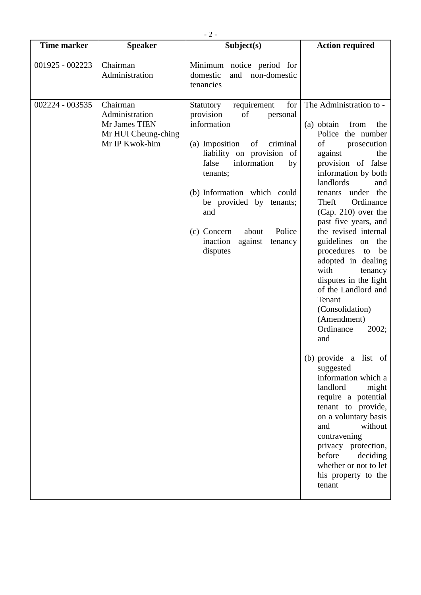| <b>Time marker</b> | <b>Speaker</b>                                                                       | Subject(s)                                                                                                                                                                                                                                                                                                                                | <b>Action required</b>                                                                                                                                                                                                                                                                                                                                                                                                                                                                                                                                                                                                                                                                                                                                                                                               |
|--------------------|--------------------------------------------------------------------------------------|-------------------------------------------------------------------------------------------------------------------------------------------------------------------------------------------------------------------------------------------------------------------------------------------------------------------------------------------|----------------------------------------------------------------------------------------------------------------------------------------------------------------------------------------------------------------------------------------------------------------------------------------------------------------------------------------------------------------------------------------------------------------------------------------------------------------------------------------------------------------------------------------------------------------------------------------------------------------------------------------------------------------------------------------------------------------------------------------------------------------------------------------------------------------------|
| 001925 - 002223    | Chairman<br>Administration                                                           | Minimum notice period for<br>non-domestic<br>and<br>domestic<br>tenancies                                                                                                                                                                                                                                                                 |                                                                                                                                                                                                                                                                                                                                                                                                                                                                                                                                                                                                                                                                                                                                                                                                                      |
| 002224 - 003535    | Chairman<br>Administration<br>Mr James TIEN<br>Mr HUI Cheung-ching<br>Mr IP Kwok-him | for<br>requirement<br>Statutory<br>provision<br>of<br>personal<br>information<br>(a) Imposition<br>of<br>criminal<br>liability on provision of<br>false<br>information<br>by<br>tenants;<br>(b) Information which could<br>be provided by tenants;<br>and<br>Police<br>(c) Concern<br>about<br>inaction<br>against<br>tenancy<br>disputes | The Administration to -<br>(a) obtain<br>from<br>the<br>Police the number<br>of<br>prosecution<br>against<br>the<br>provision of false<br>information by both<br>landlords<br>and<br>tenants under the<br>Ordinance<br>Theft<br>(Cap. 210) over the<br>past five years, and<br>the revised internal<br>guidelines on<br>the<br>procedures to<br>be<br>adopted in dealing<br>with<br>tenancy<br>disputes in the light<br>of the Landlord and<br>Tenant<br>(Consolidation)<br>(Amendment)<br>Ordinance<br>2002;<br>and<br>(b) provide a list of<br>suggested<br>information which a<br>landlord<br>might<br>require a potential<br>tenant to provide,<br>on a voluntary basis<br>and<br>without<br>contravening<br>privacy protection,<br>before<br>deciding<br>whether or not to let<br>his property to the<br>tenant |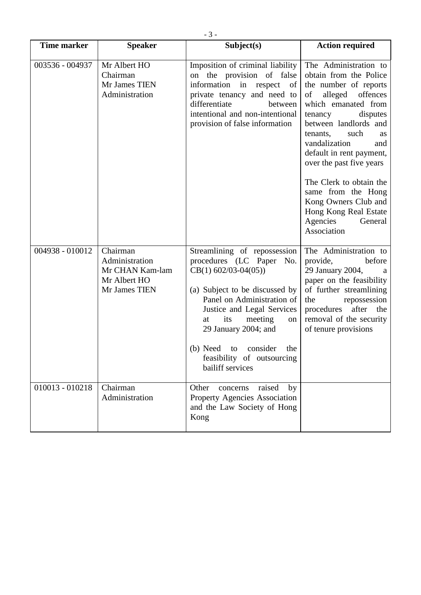| <b>Time marker</b> | <b>Speaker</b>                                                                 | Subject(s)                                                                                                                                                                                                                                                                                                                    | <b>Action required</b>                                                                                                                                                                                                                                                                                                                                                                                                         |
|--------------------|--------------------------------------------------------------------------------|-------------------------------------------------------------------------------------------------------------------------------------------------------------------------------------------------------------------------------------------------------------------------------------------------------------------------------|--------------------------------------------------------------------------------------------------------------------------------------------------------------------------------------------------------------------------------------------------------------------------------------------------------------------------------------------------------------------------------------------------------------------------------|
| 003536 - 004937    | Mr Albert HO<br>Chairman<br>Mr James TIEN<br>Administration                    | Imposition of criminal liability<br>on the provision of false<br>information in respect of<br>private tenancy and need to<br>differentiate<br>between<br>intentional and non-intentional<br>provision of false information                                                                                                    | The Administration to<br>obtain from the Police<br>the number of reports<br>alleged<br>of<br>offences<br>which emanated from<br>tenancy<br>disputes<br>between landlords and<br>such<br>tenants,<br>as<br>vandalization<br>and<br>default in rent payment,<br>over the past five years<br>The Clerk to obtain the<br>same from the Hong<br>Kong Owners Club and<br>Hong Kong Real Estate<br>Agencies<br>General<br>Association |
| 004938 - 010012    | Chairman<br>Administration<br>Mr CHAN Kam-lam<br>Mr Albert HO<br>Mr James TIEN | Streamlining of repossession<br>procedures (LC Paper No.<br>$CB(1) 602/03-04(05))$<br>(a) Subject to be discussed by<br>Panel on Administration of<br>Justice and Legal Services<br>its<br>meeting<br>at<br>on<br>29 January 2004; and<br>(b) Need<br>consider<br>the<br>to<br>feasibility of outsourcing<br>bailiff services | The Administration to<br>before<br>provide,<br>29 January 2004,<br>a<br>paper on the feasibility<br>of further streamlining<br>the<br>repossession<br>procedures<br>after<br>the<br>removal of the security<br>of tenure provisions                                                                                                                                                                                            |
| $010013 - 010218$  | Chairman<br>Administration                                                     | raised<br>Other<br>by<br>concerns<br>Property Agencies Association<br>and the Law Society of Hong<br>Kong                                                                                                                                                                                                                     |                                                                                                                                                                                                                                                                                                                                                                                                                                |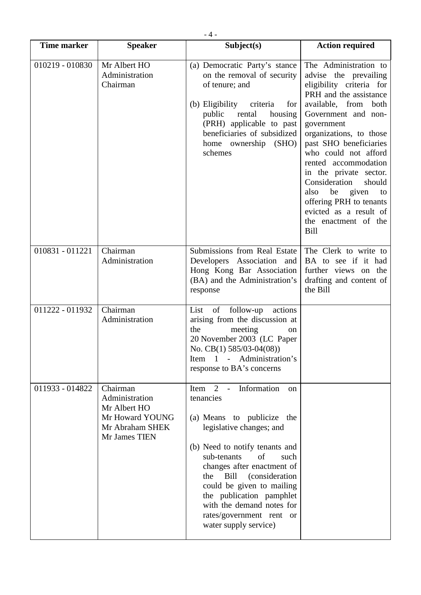| Time marker     | <b>Speaker</b>                                                                                    | Subject(s)                                                                                                                                                                                                                                                                                                                                                                               | <b>Action required</b>                                                                                                                                                                                                                                                                                                                                                                                                                            |
|-----------------|---------------------------------------------------------------------------------------------------|------------------------------------------------------------------------------------------------------------------------------------------------------------------------------------------------------------------------------------------------------------------------------------------------------------------------------------------------------------------------------------------|---------------------------------------------------------------------------------------------------------------------------------------------------------------------------------------------------------------------------------------------------------------------------------------------------------------------------------------------------------------------------------------------------------------------------------------------------|
| 010219 - 010830 | Mr Albert HO<br>Administration<br>Chairman                                                        | (a) Democratic Party's stance<br>on the removal of security<br>of tenure; and<br>(b) Eligibility criteria<br>for<br>public rental<br>housing<br>(PRH) applicable to past<br>beneficiaries of subsidized<br>home ownership (SHO)<br>schemes                                                                                                                                               | The Administration to<br>advise the prevailing<br>eligibility criteria for<br>PRH and the assistance<br>available, from<br>both<br>Government and non-<br>government<br>organizations, to those<br>past SHO beneficiaries<br>who could not afford<br>rented accommodation<br>in the private sector.<br>Consideration<br>should<br>also be given<br>to<br>offering PRH to tenants<br>evicted as a result of<br>the enactment of the<br><b>Bill</b> |
| 010831 - 011221 | Chairman<br>Administration                                                                        | Submissions from Real Estate<br>Developers Association and<br>Hong Kong Bar Association<br>(BA) and the Administration's<br>response                                                                                                                                                                                                                                                     | The Clerk to write to<br>BA to see if it had<br>further views on the<br>drafting and content of<br>the Bill                                                                                                                                                                                                                                                                                                                                       |
| 011222 - 011932 | Chairman<br>Administration                                                                        | List of follow-up<br>actions<br>arising from the discussion at<br>meeting<br>the<br>on<br>20 November 2003 (LC Paper<br>No. CB(1) 585/03-04(08))<br>Item 1 - Administration's<br>response to BA's concerns                                                                                                                                                                               |                                                                                                                                                                                                                                                                                                                                                                                                                                                   |
| 011933 - 014822 | Chairman<br>Administration<br>Mr Albert HO<br>Mr Howard YOUNG<br>Mr Abraham SHEK<br>Mr James TIEN | Item $2 -$<br>Information<br><sub>on</sub><br>tenancies<br>(a) Means to publicize the<br>legislative changes; and<br>(b) Need to notify tenants and<br>sub-tenants<br>of<br>such<br>changes after enactment of<br>the Bill<br>(consideration)<br>could be given to mailing<br>the publication pamphlet<br>with the demand notes for<br>rates/government rent or<br>water supply service) |                                                                                                                                                                                                                                                                                                                                                                                                                                                   |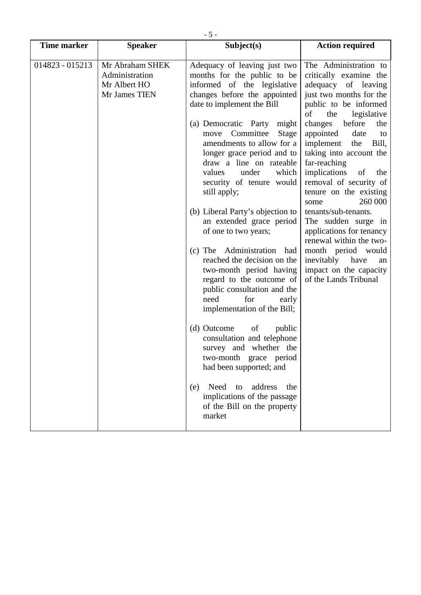| <b>Time marker</b> | <b>Speaker</b>                                                     | Subject(s)                                                                                                                                                                                                          | <b>Action required</b>                                                                                                                                                                                                          |
|--------------------|--------------------------------------------------------------------|---------------------------------------------------------------------------------------------------------------------------------------------------------------------------------------------------------------------|---------------------------------------------------------------------------------------------------------------------------------------------------------------------------------------------------------------------------------|
| 014823 - 015213    | Mr Abraham SHEK<br>Administration<br>Mr Albert HO<br>Mr James TIEN | Adequacy of leaving just two<br>months for the public to be<br>informed of the legislative<br>changes before the appointed<br>date to implement the Bill                                                            | The Administration to<br>critically examine the<br>adequacy of leaving<br>just two months for the<br>public to be informed<br>of<br>legislative<br>the                                                                          |
|                    |                                                                    | (a) Democratic Party might<br>move Committee<br>Stage<br>amendments to allow for a<br>longer grace period and to<br>draw a line on rateable<br>which<br>under<br>values<br>security of tenure would<br>still apply; | changes<br>before<br>the<br>appointed<br>date<br>to<br>implement<br>the<br>Bill,<br>taking into account the<br>far-reaching<br>implications<br>of<br>the<br>removal of security of<br>tenure on the existing<br>260 000<br>some |
|                    |                                                                    | (b) Liberal Party's objection to<br>an extended grace period<br>of one to two years;                                                                                                                                | tenants/sub-tenants.<br>The sudden surge in<br>applications for tenancy<br>renewal within the two-                                                                                                                              |
|                    |                                                                    | (c) The Administration<br>had<br>reached the decision on the<br>two-month period having<br>regard to the outcome of<br>public consultation and the<br>need<br>for<br>early<br>implementation of the Bill;           | month period would<br>inevitably have<br>an<br>impact on the capacity<br>of the Lands Tribunal                                                                                                                                  |
|                    |                                                                    | (d) Outcome<br>of<br>public<br>consultation and telephone<br>survey and whether the<br>two-month grace<br>period<br>had been supported; and                                                                         |                                                                                                                                                                                                                                 |
|                    |                                                                    | Need to<br>address<br>the<br>(e)<br>implications of the passage<br>of the Bill on the property<br>market                                                                                                            |                                                                                                                                                                                                                                 |